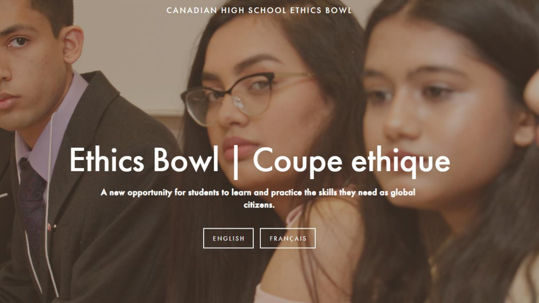#### CANADIAN HIGH SCHOOL ETHICS BOWL

# Ethics Bowl | Coupe ethique

A new opportunity for students to learn and practice the skills they need as global citizens.

| ENGLISH | <b>FRANCAIS</b> |  |
|---------|-----------------|--|
|         |                 |  |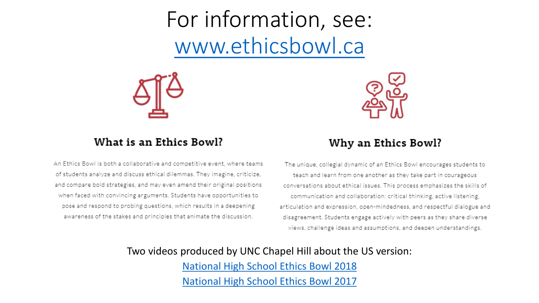For information, see: [www.ethicsbowl.ca](http://www.ethicsbowl.ca/)



### What is an Ethics Bowl?

An Ethics Bowl is both a collaborative and competitive event, where teams of students analyze and discuss ethical dilemmas. They imagine, criticize, and compare bold strategies, and may even amend their original positions when faced with convincing arguments. Students have opportunities to pose and respond to probing questions, which results in a deepening awareness of the stakes and principles that animate the discussion.



### Why an Ethics Bowl?

The unique, collegial dynamic of an Ethics Bowl encourages students to teach and learn from one another as they take part in courageous conversations about ethical issues. This process emphasizes the skills of communication and collaboration: critical thinking, active listening, articulation and expression, open-mindedness, and respectful dialogue and disagreement. Students engage actively with peers as they share diverse views, challenge ideas and assumptions, and deepen understandings.

Two videos produced by UNC Chapel Hill about the US version: [National High School Ethics Bowl 2018](https://vimeo.com/269011774) [National High School Ethics Bowl 2017](https://vimeo.com/232980906)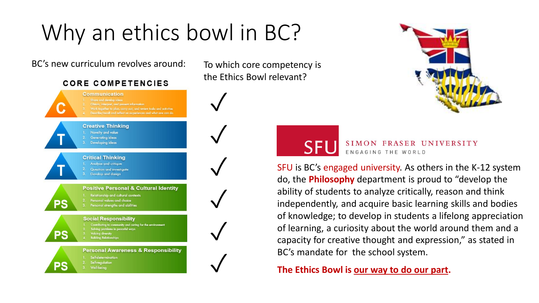## Why an ethics bowl in BC?

BC's new curriculum revolves around: To which core competency is

### **CORE COMPETENCIES**

**Communication** Work together to plan, carry out, and review tasks and activities Describe/recall and reflect on experiences and what one can do **Creative Thinking** Novelty and value **Generating ideas** Developing ideas **Critical Thinking** Analyze and critique Question and investigate Develop and design **Positive Personal & Cultural Identity** Relationship and cultural contexts 2. Personal values and choice PS Personal strengths and abilities **Social Responsibility** Contributing to community and caring for the environment Solving problems in peaceful ways PS **Valuing diversity** Building Relationships

**Personal Awareness & Responsibility** 

- Self-determination
- Self-regulation Well-being

PS

the Ethics Bowl relevant?



✓

✓



#### SIMON FRASER UNIVERSITY **SFU** ENGAGING THE WORLD

SFU is BC's engaged university. As others in the K-12 system do, the **Philosophy** department is proud to "develop the ability of students to analyze critically, reason and think independently, and acquire basic learning skills and bodies of knowledge; to develop in students a lifelong appreciation of learning, a curiosity about the world around them and a capacity for creative thought and expression," as stated in BC's mandate for the school system.

The Ethics Bowl is our way to do our part.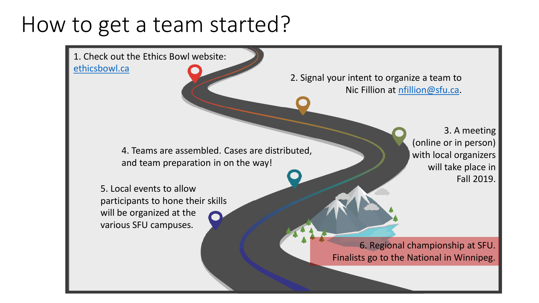### How to get a team started?